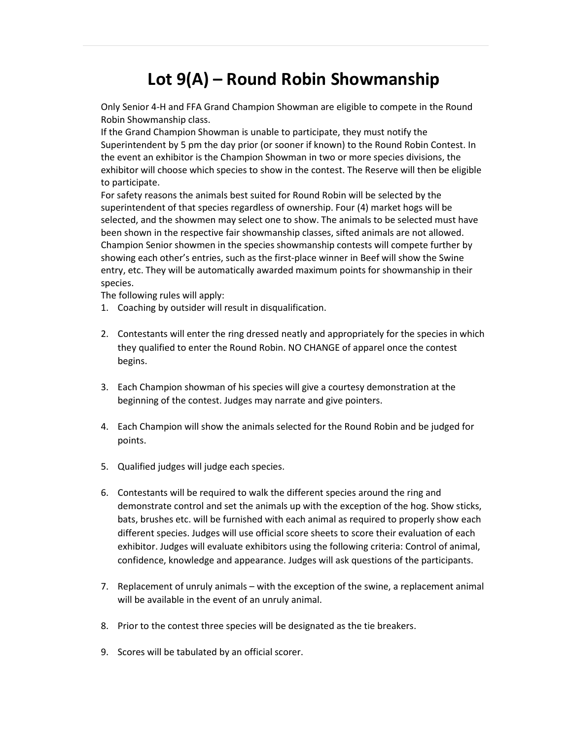## Lot 9(A) – Round Robin Showmanship

Only Senior 4-H and FFA Grand Champion Showman are eligible to compete in the Round Robin Showmanship class.

If the Grand Champion Showman is unable to participate, they must notify the Superintendent by 5 pm the day prior (or sooner if known) to the Round Robin Contest. In the event an exhibitor is the Champion Showman in two or more species divisions, the exhibitor will choose which species to show in the contest. The Reserve will then be eligible to participate.

For safety reasons the animals best suited for Round Robin will be selected by the superintendent of that species regardless of ownership. Four (4) market hogs will be selected, and the showmen may select one to show. The animals to be selected must have been shown in the respective fair showmanship classes, sifted animals are not allowed. Champion Senior showmen in the species showmanship contests will compete further by showing each other's entries, such as the first-place winner in Beef will show the Swine entry, etc. They will be automatically awarded maximum points for showmanship in their species.

The following rules will apply:

- 1. Coaching by outsider will result in disqualification.
- 2. Contestants will enter the ring dressed neatly and appropriately for the species in which they qualified to enter the Round Robin. NO CHANGE of apparel once the contest begins.
- 3. Each Champion showman of his species will give a courtesy demonstration at the beginning of the contest. Judges may narrate and give pointers.
- 4. Each Champion will show the animals selected for the Round Robin and be judged for points.
- 5. Qualified judges will judge each species.
- 6. Contestants will be required to walk the different species around the ring and demonstrate control and set the animals up with the exception of the hog. Show sticks, bats, brushes etc. will be furnished with each animal as required to properly show each different species. Judges will use official score sheets to score their evaluation of each exhibitor. Judges will evaluate exhibitors using the following criteria: Control of animal, confidence, knowledge and appearance. Judges will ask questions of the participants.
- 7. Replacement of unruly animals with the exception of the swine, a replacement animal will be available in the event of an unruly animal.
- 8. Prior to the contest three species will be designated as the tie breakers.
- 9. Scores will be tabulated by an official scorer.